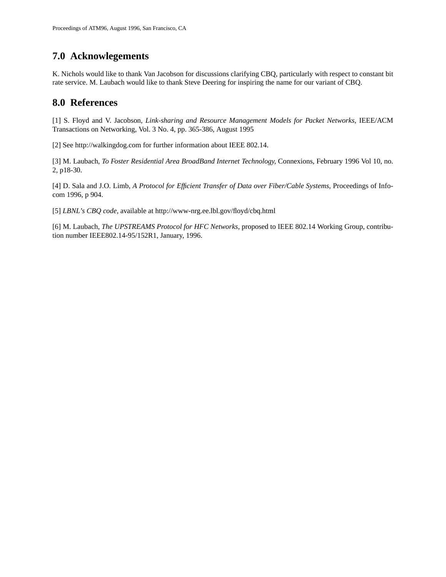# **7.0 Acknowlegements**

K. Nichols would like to thank Van Jacobson for discussions clarifying CBQ, particularly with respect to constant bit rate service. M. Laubach would like to thank Steve Deering for inspiring the name for our variant of CBQ.

## **8.0 References**

[1] S. Floyd and V. Jacobson, *Link-sharing and Resource Management Models for Packet Networks*, IEEE/ACM Transactions on Networking, Vol. 3 No. 4, pp. 365-386, August 1995

[2] See http://walkingdog.com for further information about IEEE 802.14.

[3] M. Laubach, *To Foster Residential Area BroadBand Internet Technology*, Connexions, February 1996 Vol 10, no. 2, p18-30.

[4] D. Sala and J.O. Limb, *A Protocol for Efficient Transfer of Data over Fiber/Cable Systems*, Proceedings of Infocom 1996, p 904.

[5] *LBNL's CBQ code*, available at http://www-nrg.ee.lbl.gov/floyd/cbq.html

[6] M. Laubach, *The UPSTREAMS Protocol for HFC Networks*, proposed to IEEE 802.14 Working Group, contribution number IEEE802.14-95/152R1, January, 1996.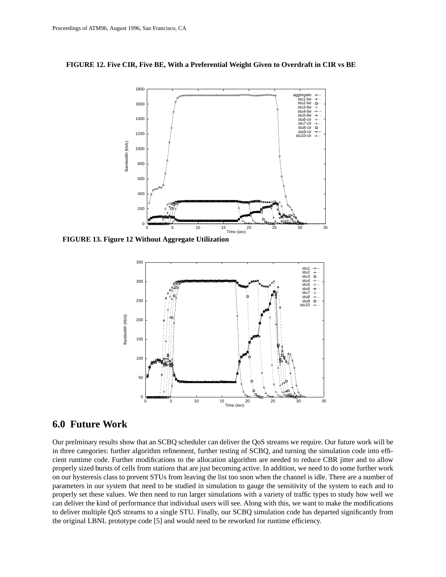**FIGURE 12. Five CIR, Five BE, With a Preferential Weight Given to Overdraft in CIR vs BE**



**FIGURE 13. Figure 12 Without Aggregate Utilization**



### **6.0 Future Work**

Our prelminary results show that an SCBQ scheduler can deliver the QoS streams we require. Our future work will be in three categories: further algorithm refinement, further testing of SCBQ, and turning the simulation code into efficient runtime code. Further modifications to the allocation algorithm are needed to reduce CBR jitter and to allow properly sized bursts of cells from stations that are just becoming active. In addition, we need to do some further work on our hysteresis class to prevent STUs from leaving the list too soon when the channel is idle. There are a number of parameters in our system that need to be studied in simulation to gauge the sensitivity of the system to each and to properly set these values. We then need to run larger simulations with a variety of traffic types to study how well we can deliver the kind of performance that individual users will see. Along with this, we want to make the modifications to deliver multiple QoS streams to a single STU. Finally, our SCBQ simulation code has departed significantly from the original LBNL prototype code [5] and would need to be reworked for runtime efficiency.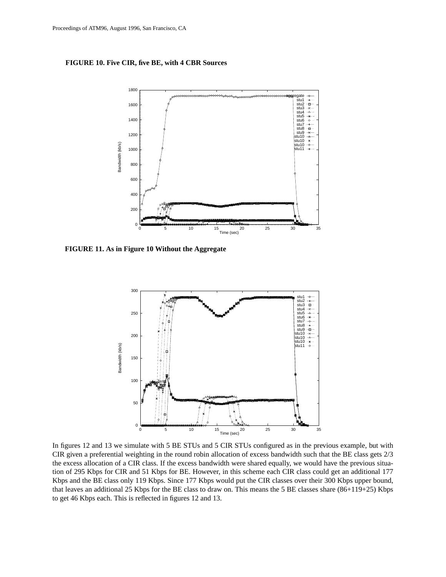#### **FIGURE 10. Five CIR, five BE, with 4 CBR Sources**



**FIGURE 11. As in Figure 10 Without the Aggregate**



In figures 12 and 13 we simulate with 5 BE STUs and 5 CIR STUs configured as in the previous example, but with CIR given a preferential weighting in the round robin allocation of excess bandwidth such that the BE class gets 2/3 the excess allocation of a CIR class. If the excess bandwidth were shared equally, we would have the previous situation of 295 Kbps for CIR and 51 Kbps for BE. However, in this scheme each CIR class could get an additional 177 Kbps and the BE class only 119 Kbps. Since 177 Kbps would put the CIR classes over their 300 Kbps upper bound, that leaves an additional 25 Kbps for the BE class to draw on. This means the 5 BE classes share (86+119+25) Kbps to get 46 Kbps each. This is reflected in figures 12 and 13.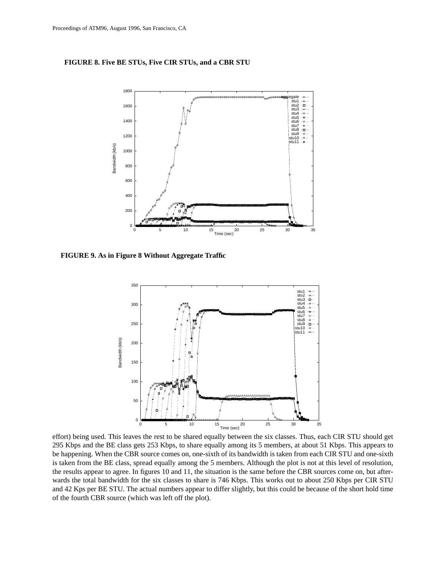#### **FIGURE 8. Five BE STUs, Five CIR STUs, and a CBR STU**



**FIGURE 9. As in Figure 8 Without Aggregate Traffic**



effort) being used. This leaves the rest to be shared equally between the six classes. Thus, each CIR STU should get 295 Kbps and the BE class gets 253 Kbps, to share equally among its 5 members, at about 51 Kbps. This appears to be happening. When the CBR source comes on, one-sixth of its bandwidth is taken from each CIR STU and one-sixth is taken from the BE class, spread equally among the 5 members. Although the plot is not at this level of resolution, the results appear to agree. In figures 10 and 11, the situation is the same before the CBR sources come on, but afterwards the total bandwidth for the six classes to share is 746 Kbps. This works out to about 250 Kbps per CIR STU and 42 Kps per BE STU. The actual numbers appear to differ slightly, but this could be because of the short hold time of the fourth CBR source (which was left off the plot).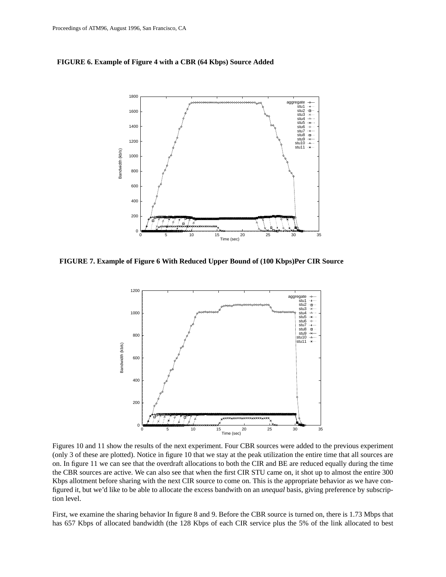#### **FIGURE 6. Example of Figure 4 with a CBR (64 Kbps) Source Added**



**FIGURE 7. Example of Figure 6 With Reduced Upper Bound of (100 Kbps)Per CIR Source**



Figures 10 and 11 show the results of the next experiment. Four CBR sources were added to the previous experiment (only 3 of these are plotted). Notice in figure 10 that we stay at the peak utilization the entire time that all sources are on. In figure 11 we can see that the overdraft allocations to both the CIR and BE are reduced equally during the time the CBR sources are active. We can also see that when the first CIR STU came on, it shot up to almost the entire 300 Kbps allotment before sharing with the next CIR source to come on. This is the appropriate behavior as we have configured it, but we'd like to be able to allocate the excess bandwith on an *unequal* basis, giving preference by subscription level.

First, we examine the sharing behavior In figure 8 and 9. Before the CBR source is turned on, there is 1.73 Mbps that has 657 Kbps of allocated bandwidth (the 128 Kbps of each CIR service plus the 5% of the link allocated to best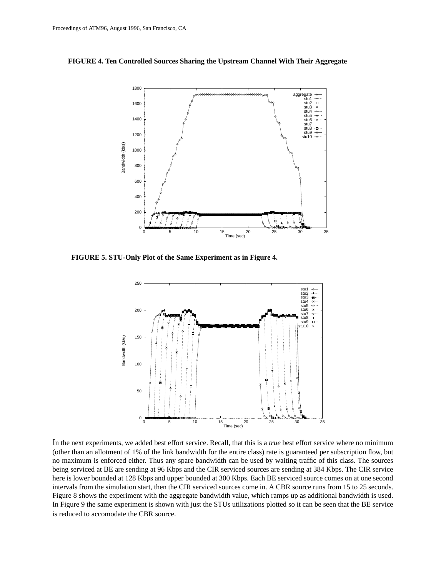



**FIGURE 5. STU-Only Plot of the Same Experiment as in Figure 4.**



In the next experiments, we added best effort service. Recall, that this is a *true* best effort service where no minimum (other than an allotment of 1% of the link bandwidth for the entire class) rate is guaranteed per subscription flow, but no maximum is enforced either. Thus any spare bandwidth can be used by waiting traffic of this class. The sources being serviced at BE are sending at 96 Kbps and the CIR serviced sources are sending at 384 Kbps. The CIR service here is lower bounded at 128 Kbps and upper bounded at 300 Kbps. Each BE serviced source comes on at one second intervals from the simulation start, then the CIR serviced sources come in. A CBR source runs from 15 to 25 seconds. Figure 8 shows the experiment with the aggregate bandwidth value, which ramps up as additional bandwidth is used. In Figure 9 the same experiment is shown with just the STUs utilizations plotted so it can be seen that the BE service is reduced to accomodate the CBR source.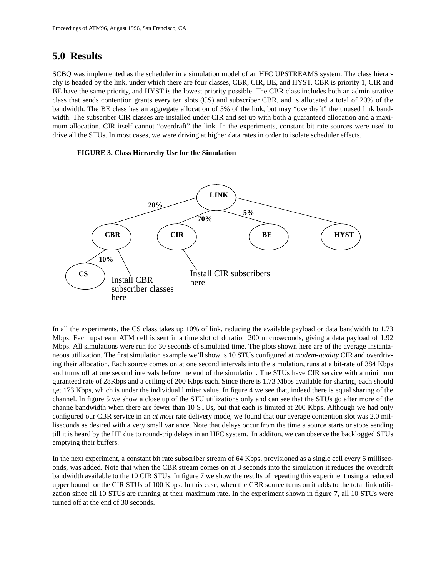## **5.0 Results**

SCBQ was implemented as the scheduler in a simulation model of an HFC UPSTREAMS system. The class hierarchy is headed by the link, under which there are four classes, CBR, CIR, BE, and HYST. CBR is priority 1, CIR and BE have the same priority, and HYST is the lowest priority possible. The CBR class includes both an administrative class that sends contention grants every ten slots (CS) and subscriber CBR, and is allocated a total of 20% of the bandwidth. The BE class has an aggregate allocation of 5% of the link, but may "overdraft" the unused link bandwidth. The subscriber CIR classes are installed under CIR and set up with both a guaranteed allocation and a maximum allocation. CIR itself cannot "overdraft" the link. In the experiments, constant bit rate sources were used to drive all the STUs. In most cases, we were driving at higher data rates in order to isolate scheduler effects.

#### **FIGURE 3. Class Hierarchy Use for the Simulation**



In all the experiments, the CS class takes up 10% of link, reducing the available payload or data bandwidth to 1.73 Mbps. Each upstream ATM cell is sent in a time slot of duration 200 microseconds, giving a data payload of 1.92 Mbps. All simulations were run for 30 seconds of simulated time. The plots shown here are of the average instantaneous utilization. The first simulation example we'll show is 10 STUs configured at *modem-quality* CIR and overdriving their allocation. Each source comes on at one second intervals into the simulation, runs at a bit-rate of 384 Kbps and turns off at one second intervals before the end of the simulation. The STUs have CIR service with a minimum guranteed rate of 28Kbps and a ceiling of 200 Kbps each. Since there is 1.73 Mbps available for sharing, each should get 173 Kbps, which is under the individual limiter value. In figure 4 we see that, indeed there is equal sharing of the channel. In figure 5 we show a close up of the STU utilizations only and can see that the STUs go after more of the channe bandwidth when there are fewer than 10 STUs, but that each is limited at 200 Kbps. Although we had only configured our CBR service in an *at most* rate delivery mode, we found that our average contention slot was 2.0 milliseconds as desired with a very small variance. Note that delays occur from the time a source starts or stops sending till it is heard by the HE due to round-trip delays in an HFC system. In additon, we can observe the backlogged STUs emptying their buffers.

In the next experiment, a constant bit rate subscriber stream of 64 Kbps, provisioned as a single cell every 6 milliseconds, was added. Note that when the CBR stream comes on at 3 seconds into the simulation it reduces the overdraft bandwidth available to the 10 CIR STUs. In figure 7 we show the results of repeating this experiment using a reduced upper bound for the CIR STUs of 100 Kbps. In this case, when the CBR source turns on it adds to the total link utilization since all 10 STUs are running at their maximum rate. In the experiment shown in figure 7, all 10 STUs were turned off at the end of 30 seconds.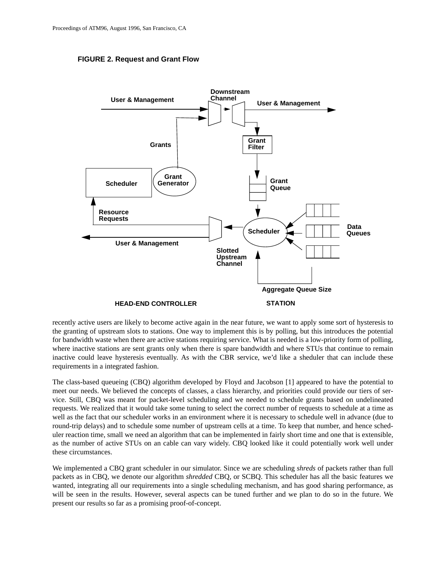#### **FIGURE 2. Request and Grant Flow**



recently active users are likely to become active again in the near future, we want to apply some sort of hysteresis to the granting of upstream slots to stations. One way to implement this is by polling, but this introduces the potential for bandwidth waste when there are active stations requiring service. What is needed is a low-priority form of polling, where inactive stations are sent grants only when there is spare bandwidth and where STUs that continue to remain inactive could leave hysteresis eventually. As with the CBR service, we'd like a sheduler that can include these requirements in a integrated fashion.

The class-based queueing (CBQ) algorithm developed by Floyd and Jacobson [1] appeared to have the potential to meet our needs. We believed the concepts of classes, a class hierarchy, and priorities could provide our tiers of service. Still, CBQ was meant for packet-level scheduling and we needed to schedule grants based on undelineated requests. We realized that it would take some tuning to select the correct number of requests to schedule at a time as well as the fact that our scheduler works in an environment where it is necessary to schedule well in advance (due to round-trip delays) and to schedule some number of upstream cells at a time. To keep that number, and hence scheduler reaction time, small we need an algorithm that can be implemented in fairly short time and one that is extensible, as the number of active STUs on an cable can vary widely. CBQ looked like it could potentially work well under these circumstances.

We implemented a CBQ grant scheduler in our simulator. Since we are scheduling *shreds* of packets rather than full packets as in CBQ, we denote our algorithm *shredded* CBQ, or SCBQ. This scheduler has all the basic features we wanted, integrating all our requirements into a single scheduling mechanism, and has good sharing performance, as will be seen in the results. However, several aspects can be tuned further and we plan to do so in the future. We present our results so far as a promising proof-of-concept.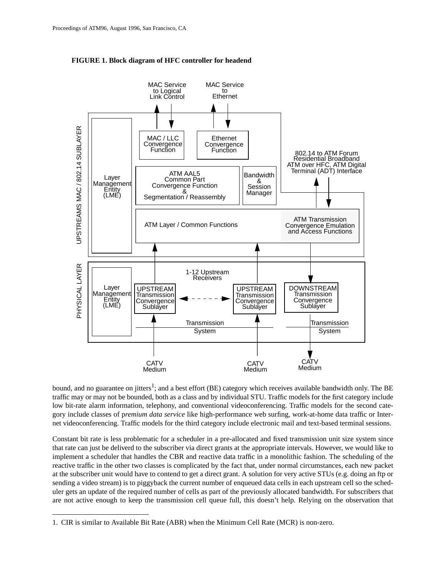

**FIGURE 1. Block diagram of HFC controller for headend**

bound, and no guarantee on jitters<sup>1</sup>; and a best effort (BE) category which receives available bandwidth only. The BE traffic may or may not be bounded, both as a class and by individual STU. Traffic models for the first category include low bit-rate alarm information, telephony, and conventional videoconferencing. Traffic models for the second category include classes of p*remium data service* like high-performance web surfing, work-at-home data traffic or Internet videoconferencing. Traffic models for the third category include electronic mail and text-based terminal sessions.

Constant bit rate is less problematic for a scheduler in a pre-allocated and fixed transmission unit size system since that rate can just be deliverd to the subscriber via direct grants at the appropriate intervals. However, we would like to implement a scheduler that handles the CBR and reactive data traffic in a monolithic fashion. The scheduling of the reactive traffic in the other two classes is complicated by the fact that, under normal circumstances, each new packet at the subscriber unit would have to contend to get a direct grant. A solution for very active STUs (e.g. doing an ftp or sending a video stream) is to piggyback the current number of enqueued data cells in each upstream cell so the scheduler gets an update of the required number of cells as part of the previously allocated bandwidth. For subscribers that are not active enough to keep the transmission cell queue full, this doesn't help. Relying on the observation that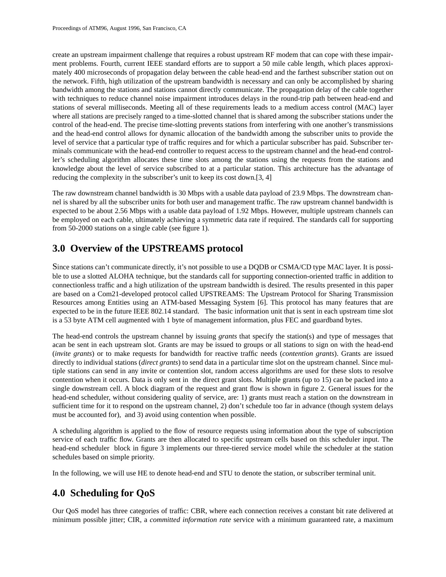create an upstream impairment challenge that requires a robust upstream RF modem that can cope with these impairment problems. Fourth, current IEEE standard efforts are to support a 50 mile cable length, which places approximately 400 microseconds of propagation delay between the cable head-end and the farthest subscriber station out on the network. Fifth, high utilization of the upstream bandwidth is necessary and can only be accomplished by sharing bandwidth among the stations and stations cannot directly communicate. The propagation delay of the cable together with techniques to reduce channel noise impairment introduces delays in the round-trip path between head-end and stations of several milliseconds. Meeting all of these requirements leads to a medium access control (MAC) layer where all stations are precisely ranged to a time-slotted channel that is shared among the subscriber stations under the control of the head-end. The precise time-slotting prevents stations from interfering with one another's transmissions and the head-end control allows for dynamic allocation of the bandwidth among the subscriber units to provide the level of service that a particular type of traffic requires and for which a particular subscriber has paid. Subscriber terminals communicate with the head-end controller to request access to the upstream channel and the head-end controller's scheduling algorithm allocates these time slots among the stations using the requests from the stations and knowledge about the level of service subscribed to at a particular station. This architecture has the advantage of reducing the complexity in the subscriber's unit to keep its cost down.[3, 4]

The raw downstream channel bandwidth is 30 Mbps with a usable data payload of 23.9 Mbps. The downstream channel is shared by all the subscriber units for both user and management traffic. The raw upstream channel bandwidth is expected to be about 2.56 Mbps with a usable data payload of 1.92 Mbps. However, multiple upstream channels can be employed on each cable, ultimately achieving a symmetric data rate if required. The standards call for supporting from 50-2000 stations on a single cable (see figure 1).

# **3.0 Overview of the UPSTREAMS protocol**

Since stations can't communicate directly, it's not possible to use a DQDB or CSMA/CD type MAC layer. It is possible to use a slotted ALOHA technique, but the standards call for supporting connection-oriented traffic in addition to connectionless traffic and a high utilization of the upstream bandwidth is desired. The results presented in this paper are based on a Com21-developed protocol called UPSTREAMS: The Upstream Protocol for Sharing Transmission Resources among Entities using an ATM-based Messaging System [6]. This protocol has many features that are expected to be in the future IEEE 802.14 standard. The basic information unit that is sent in each upstream time slot is a 53 byte ATM cell augmented with 1 byte of management information, plus FEC and guardband bytes.

The head-end controls the upstream channel by issuing *grants* that specify the station(s) and type of messages that acan be sent in each upstream slot. Grants are may be issued to groups or all stations to sign on with the head-end (*invite grants*) or to make requests for bandwidth for reactive traffic needs (*contention grants*). Grants are issued directly to individual stations (*direct grants*) to send data in a particular time slot on the upstream channel. Since multiple stations can send in any invite or contention slot, random access algorithms are used for these slots to resolve contention when it occurs. Data is only sent in the direct grant slots. Multiple grants (up to 15) can be packed into a single downstream cell. A block diagram of the request and grant flow is shown in figure 2. General issues for the head-end scheduler, without considering quality of service, are: 1) grants must reach a station on the downstream in sufficient time for it to respond on the upstream channel, 2) don't schedule too far in advance (though system delays must be accounted for), and 3) avoid using contention when possible.

A scheduling algorithm is applied to the flow of resource requests using information about the type of subscription service of each traffic flow. Grants are then allocated to specific upstream cells based on this scheduler input. The head-end scheduler block in figure 3 implements our three-tiered service model while the scheduler at the station schedules based on simple priority.

In the following, we will use HE to denote head-end and STU to denote the station, or subscriber terminal unit.

# **4.0 Scheduling for QoS**

Our QoS model has three categories of traffic: CBR, where each connection receives a constant bit rate delivered at minimum possible jitter; CIR, a *committed information rate* service with a minimum guaranteed rate, a maximum